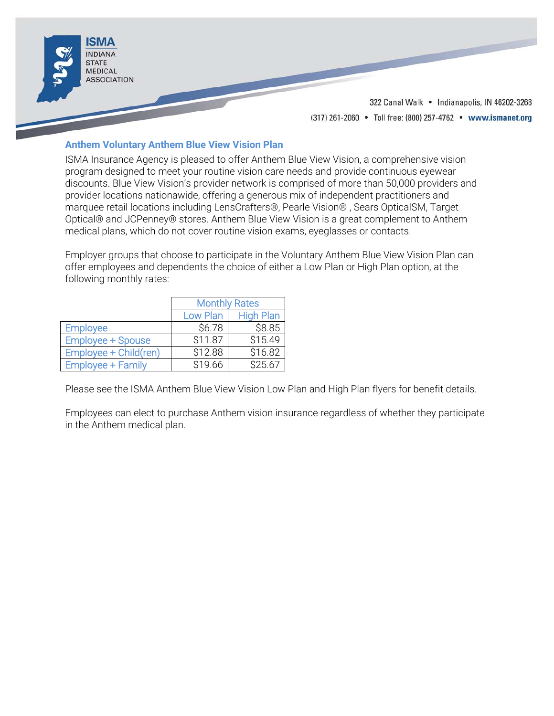

# **Anthem Voluntary Anthem Blue View Vision Plan**

ISMA Insurance Agency is pleased to offer Anthem Blue View Vision, a comprehensive vision program designed to meet your routine vision care needs and provide continuous eyewear discounts. Blue View Vision's provider network is comprised of more than 50,000 providers and provider locations nationawide, offering a generous mix of independent practitioners and marquee retail locations including LensCrafters®, Pearle Vision® , Sears OpticalSM, Target Optical® and JCPenney® stores. Anthem Blue View Vision is a great complement to Anthem medical plans, which do not cover routine vision exams, eyeglasses or contacts.

Employer groups that choose to participate in the Voluntary Anthem Blue View Vision Plan can offer employees and dependents the choice of either a Low Plan or High Plan option, at the following monthly rates:

|                          | <b>Monthly Rates</b> |                  |
|--------------------------|----------------------|------------------|
|                          | Low Plan             | <b>High Plan</b> |
| <b>Employee</b>          | \$6.78               | \$8.85           |
| <b>Employee + Spouse</b> | \$11.87              | \$15.49          |
| Employee + Child(ren)    | \$12.88              | \$16.82          |
| <b>Employee + Family</b> | \$19.66              | \$25.67          |

Please see the ISMA Anthem Blue View Vision Low Plan and High Plan flyers for benefit details.

Employees can elect to purchase Anthem vision insurance regardless of whether they participate in the Anthem medical plan.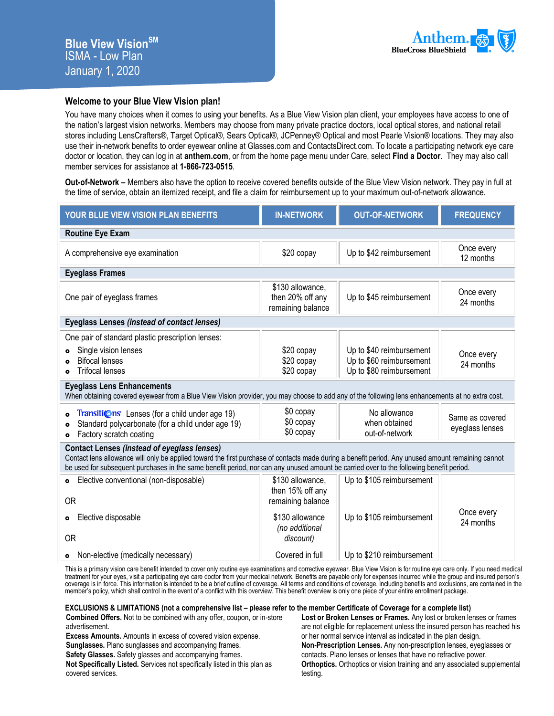

## **Welcome to your Blue View Vision plan!**

You have many choices when it comes to using your benefits. As a Blue View Vision plan client, your employees have access to one of the nation's largest vision networks. Members may choose from many private practice doctors, local optical stores, and national retail stores including LensCrafters®, Target Optical®, Sears Optical®, JCPenney® Optical and most Pearle Vision® locations. They may also use their in-network benefits to order eyewear online at Glasses.com and ContactsDirect.com. To locate a participating network eye care doctor or location, they can log in at **anthem.com**, or from the home page menu under Care, select **Find a Doctor**. They may also call member services for assistance at **1-866-723-0515**.

**Out-of-Network –** Members also have the option to receive covered benefits outside of the Blue View Vision network. They pay in full at the time of service, obtain an itemized receipt, and file a claim for reimbursement up to your maximum out-of-network allowance.

| YOUR BLUE VIEW VISION PLAN BENEFITS                                                                                                                                                                                                                                                                                                                 | <b>IN-NETWORK</b>                                                            | <b>OUT-OF-NETWORK</b>                                                            | <b>FREQUENCY</b>                   |
|-----------------------------------------------------------------------------------------------------------------------------------------------------------------------------------------------------------------------------------------------------------------------------------------------------------------------------------------------------|------------------------------------------------------------------------------|----------------------------------------------------------------------------------|------------------------------------|
| <b>Routine Eye Exam</b>                                                                                                                                                                                                                                                                                                                             |                                                                              |                                                                                  |                                    |
| A comprehensive eye examination                                                                                                                                                                                                                                                                                                                     | \$20 copay                                                                   | Up to \$42 reimbursement                                                         | Once every<br>12 months            |
| <b>Eyeglass Frames</b>                                                                                                                                                                                                                                                                                                                              |                                                                              |                                                                                  |                                    |
| One pair of eyeglass frames                                                                                                                                                                                                                                                                                                                         | \$130 allowance,<br>then 20% off any<br>remaining balance                    | Up to \$45 reimbursement                                                         | Once every<br>24 months            |
| <b>Eyeglass Lenses (instead of contact lenses)</b>                                                                                                                                                                                                                                                                                                  |                                                                              |                                                                                  |                                    |
| One pair of standard plastic prescription lenses:<br>Single vision lenses<br><b>Bifocal lenses</b><br><b>Trifocal lenses</b><br>$\bullet$                                                                                                                                                                                                           | \$20 copay<br>\$20 copay<br>\$20 copay                                       | Up to \$40 reimbursement<br>Up to \$60 reimbursement<br>Up to \$80 reimbursement | Once every<br>24 months            |
| <b>Eyeglass Lens Enhancements</b><br>When obtaining covered eyewear from a Blue View Vision provider, you may choose to add any of the following lens enhancements at no extra cost.                                                                                                                                                                |                                                                              |                                                                                  |                                    |
| <b>Transitions</b> Lenses (for a child under age 19)<br>$\bullet$<br>Standard polycarbonate (for a child under age 19)<br>$\bullet$<br>Factory scratch coating<br>$\bullet$                                                                                                                                                                         | \$0 copay<br>\$0 copay<br>\$0 copay                                          | No allowance<br>when obtained<br>out-of-network                                  | Same as covered<br>eyeglass lenses |
| <b>Contact Lenses (instead of eyeglass lenses)</b><br>Contact lens allowance will only be applied toward the first purchase of contacts made during a benefit period. Any unused amount remaining cannot<br>be used for subsequent purchases in the same benefit period, nor can any unused amount be carried over to the following benefit period. |                                                                              |                                                                                  |                                    |
| Elective conventional (non-disposable)<br>$\bullet$<br><b>OR</b><br>Elective disposable<br>$\bullet$                                                                                                                                                                                                                                                | \$130 allowance,<br>then 15% off any<br>remaining balance<br>\$130 allowance | Up to \$105 reimbursement<br>Up to \$105 reimbursement                           | Once every                         |
| <b>OR</b>                                                                                                                                                                                                                                                                                                                                           | (no additional<br>discount)                                                  |                                                                                  | 24 months                          |
| Non-elective (medically necessary)<br>$\bullet$                                                                                                                                                                                                                                                                                                     | Covered in full                                                              | Up to \$210 reimbursement                                                        |                                    |

This is a primary vision care benefit intended to cover only routine eye examinations and corrective eyewear. Blue View Vision is for routine eye care only. If you need medical treatment for your eyes, visit a participating eye care doctor from your medical network. Benefits are payable only for expenses incurred while the group and insured person's coverage is in force. This information is intended to be a brief outline of coverage. All terms and conditions of coverage, including benefits and exclusions, are contained in the member's policy, which shall control in the event of a conflict with this overview. This benefit overview is only one piece of your entire enrollment package.

#### **EXCLUSIONS & LIMITATIONS (not a comprehensive list – please refer to the member Certificate of Coverage for a complete list)**

**Combined Offers.** Not to be combined with any offer, coupon, or in-store advertisement.

**Excess Amounts.** Amounts in excess of covered vision expense.

**Sunglasses.** Plano sunglasses and accompanying frames.

**Safety Glasses.** Safety glasses and accompanying frames.

**Not Specifically Listed.** Services not specifically listed in this plan as covered services.

**Lost or Broken Lenses or Frames.** Any lost or broken lenses or frames are not eligible for replacement unless the insured person has reached his or her normal service interval as indicated in the plan design. **Non-Prescription Lenses.** Any non-prescription lenses, eyeglasses or contacts. Plano lenses or lenses that have no refractive power. **Orthoptics.** Orthoptics or vision training and any associated supplemental testing.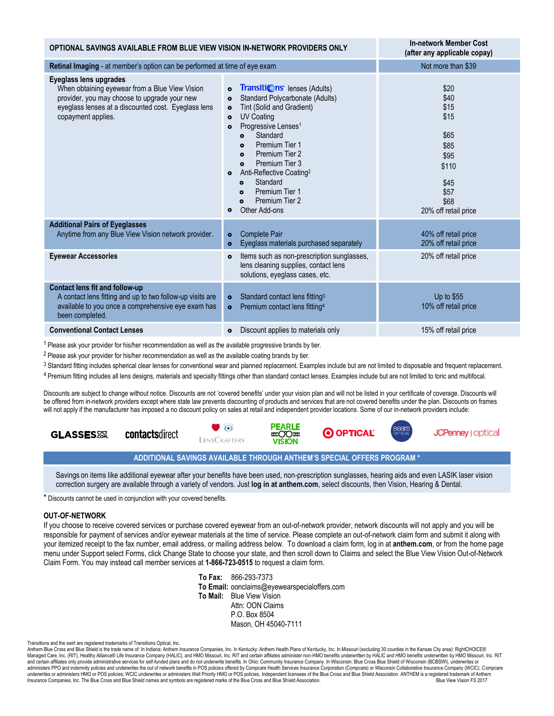| OPTIONAL SAVINGS AVAILABLE FROM BLUE VIEW VISION IN-NETWORK PROVIDERS ONLY                                                                                                                            |                                                                                                                                                                                                                                                                                                                                                                                                                                                                                                                             | <b>In-network Member Cost</b><br>(after any applicable copay)                                                 |
|-------------------------------------------------------------------------------------------------------------------------------------------------------------------------------------------------------|-----------------------------------------------------------------------------------------------------------------------------------------------------------------------------------------------------------------------------------------------------------------------------------------------------------------------------------------------------------------------------------------------------------------------------------------------------------------------------------------------------------------------------|---------------------------------------------------------------------------------------------------------------|
| Retinal Imaging - at member's option can be performed at time of eye exam                                                                                                                             |                                                                                                                                                                                                                                                                                                                                                                                                                                                                                                                             | Not more than \$39                                                                                            |
| Eyeglass lens upgrades<br>When obtaining eyewear from a Blue View Vision<br>provider, you may choose to upgrade your new<br>eyeglass lenses at a discounted cost. Eyeglass lens<br>copayment applies. | <b>Transitions</b> lenses (Adults)<br>$\bullet$<br>Standard Polycarbonate (Adults)<br>$\bullet$<br>Tint (Solid and Gradient)<br>$\bullet$<br><b>UV Coating</b><br>$\bullet$<br>Progressive Lenses <sup>1</sup><br>$\bullet$<br>Standard<br>$\bullet$<br>Premium Tier 1<br>$\bullet$<br>Premium Tier 2<br>$\bullet$<br>Premium Tier 3<br>$\bullet$<br>Anti-Reflective Coating <sup>2</sup><br>$\bullet$<br>Standard<br>$\bullet$<br>Premium Tier 1<br>$\bullet$<br>Premium Tier 2<br>$\bullet$<br>Other Add-ons<br>$\bullet$ | \$20<br>\$40<br>\$15<br>\$15<br>\$65<br>\$85<br>\$95<br>\$110<br>\$45<br>\$57<br>\$68<br>20% off retail price |
| <b>Additional Pairs of Eyeglasses</b><br>Anytime from any Blue View Vision network provider.                                                                                                          | <b>Complete Pair</b><br>$\bullet$<br>Eyeglass materials purchased separately<br>$\bullet$                                                                                                                                                                                                                                                                                                                                                                                                                                   | 40% off retail price<br>20% off retail price                                                                  |
| <b>Eyewear Accessories</b>                                                                                                                                                                            | Items such as non-prescription sunglasses,<br>$\bullet$<br>lens cleaning supplies, contact lens<br>solutions, eyeglass cases, etc.                                                                                                                                                                                                                                                                                                                                                                                          | 20% off retail price                                                                                          |
| <b>Contact lens fit and follow-up</b><br>A contact lens fitting and up to two follow-up visits are<br>available to you once a comprehensive eye exam has<br>been completed.                           | Standard contact lens fitting <sup>3</sup><br>$\bullet$<br>Premium contact lens fitting <sup>4</sup><br>$\bullet$                                                                                                                                                                                                                                                                                                                                                                                                           | Up to \$55<br>10% off retail price                                                                            |
| <b>Conventional Contact Lenses</b>                                                                                                                                                                    | Discount applies to materials only<br>$\bullet$                                                                                                                                                                                                                                                                                                                                                                                                                                                                             | 15% off retail price                                                                                          |

<sup>1</sup> Please ask your provider for his/her recommendation as well as the available progressive brands by tier.

<sup>2</sup> Please ask your provider for his/her recommendation as well as the available coating brands by tier.

<sup>3</sup> Standard fitting includes spherical clear lenses for conventional wear and planned replacement. Examples include but are not limited to disposable and frequent replacement.

4 Premium fitting includes all lens designs, materials and specialty fittings other than standard contact lenses. Examples include but are not limited to toric and multifocal.

Discounts are subject to change without notice. Discounts are not 'covered benefits' under your vision plan and will not be listed in your certificate of coverage. Discounts will be offered from in-network providers except where state law prevents discounting of products and services that are not covered benefits under the plan. Discounts on frames will not apply if the manufacturer has imposed a no discount policy on sales at retail and independent provider locations. Some of our in-network providers include:



## **ADDITIONAL SAVINGS AVAILABLE THROUGH ANTHEM'S SPECIAL OFFERS PROGRAM \***

Savings on items like additional eyewear after your benefits have been used, non-prescription sunglasses, hearing aids and even LASIK laser vision correction surgery are available through a variety of vendors. Just **log in at anthem.com**, select discounts, then Vision, Hearing & Dental.

\* Discounts cannot be used in conjunction with your covered benefits.

#### **OUT-OF-NETWORK**

If you choose to receive covered services or purchase covered eyewear from an out-of-network provider, network discounts will not apply and you will be responsible for payment of services and/or eyewear materials at the time of service. Please complete an out-of-network claim form and submit it along with your itemized receipt to the fax number, email address, or mailing address below. To download a claim form, log in at **anthem.com**, or from the home page menu under Support select Forms, click Change State to choose your state, and then scroll down to Claims and select the Blue View Vision Out-of-Network Claim Form. You may instead call member services at **1-866-723-0515** to request a claim form.

> **To Fax:** 866-293-7373 **To Email:** oonclaims@eyewearspecialoffers.com **To Mail:** Blue View Vision Attn: OON Claims P.O. Box 8504 Mason, OH 45040-7111

Transitions and the swirl are registered trademarks of Transitions Optical, Inc.

Anthem Blue Cross and Blue Shield is the trade name of: In Indiana: Anthem Insurance Companies, Inc. In Kentucky: Anthem Health Plans of Kentucky, Inc. In Missouri (excluding 30 counties in the Kansas City area): RightCHOI Managed Care, Inc. (RIT), Healthy Alliance® Life Insurance Company (HALIC), and HMO Missouri, Inc. RIT and certain affiliates administer non-HMO benefits underwritten by HALIC and HMO benefits underwritten by HMO Missouri, administers PPO and indemnity policies and underwrites the out of network benefits in POS policies offered by Compcare Health Services Insurance Corporation (Compcare) or Wisconsin Collaborative Insurance Company (WCIC). C underwrites or administers HMO or POS policies; WCIC underwrites or administers Well Priority HMO or POS policies. Independent licensees of the Blue Cross and Blue Shield Association. ANTHEM is a registered trademark of An Insurance Companies, Inc. The Blue Cross and Blue Shield names and symbols are registered marks of the Blue Cross and Blue Shield Association.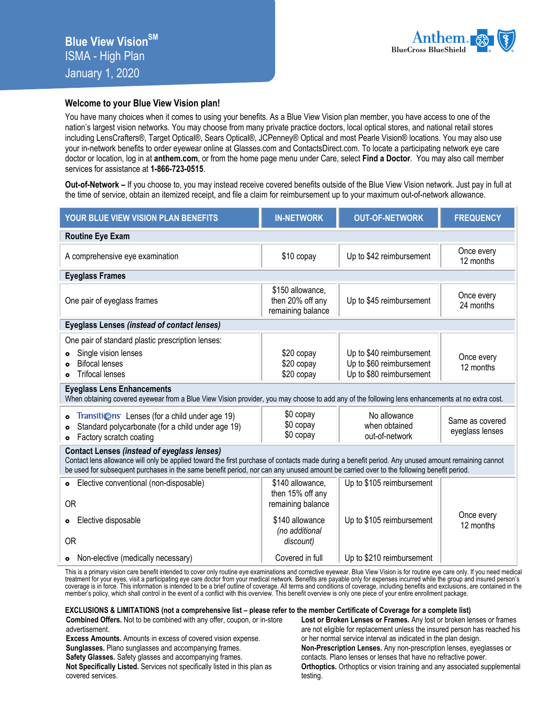

## **Welcome to your Blue View Vision plan!**

You have many choices when it comes to using your benefits. As a Blue View Vision plan member, you have access to one of the nation's largest vision networks. You may choose from many private practice doctors, local optical stores, and national retail stores including LensCrafters®, Target Optical®, Sears Optical®, JCPenney® Optical and most Pearle Vision® locations. You may also use your in-network benefits to order eyewear online at Glasses.com and ContactsDirect.com. To locate a participating network eye care doctor or location, log in at **anthem.com**, or from the home page menu under Care, select **Find a Doctor**. You may also call member services for assistance at **1-866-723-0515**.

**Out-of-Network –** If you choose to, you may instead receive covered benefits outside of the Blue View Vision network. Just pay in full at the time of service, obtain an itemized receipt, and file a claim for reimbursement up to your maximum out-of-network allowance.

| YOUR BLUE VIEW VISION PLAN BENEFITS                                                                                                                                                                                                                                                                                                                                                | <b>IN-NETWORK</b>                                                            | <b>OUT-OF-NETWORK</b>                                                                            | <b>FREQUENCY</b>                           |
|------------------------------------------------------------------------------------------------------------------------------------------------------------------------------------------------------------------------------------------------------------------------------------------------------------------------------------------------------------------------------------|------------------------------------------------------------------------------|--------------------------------------------------------------------------------------------------|--------------------------------------------|
| <b>Routine Eye Exam</b>                                                                                                                                                                                                                                                                                                                                                            |                                                                              |                                                                                                  |                                            |
| A comprehensive eye examination                                                                                                                                                                                                                                                                                                                                                    | \$10 copay                                                                   | Up to \$42 reimbursement                                                                         | Once every<br>12 months                    |
| <b>Eyeglass Frames</b>                                                                                                                                                                                                                                                                                                                                                             |                                                                              |                                                                                                  |                                            |
| One pair of eyeglass frames                                                                                                                                                                                                                                                                                                                                                        | \$150 allowance,<br>then 20% off any<br>remaining balance                    | Up to \$45 reimbursement                                                                         | Once every<br>24 months                    |
| <b>Eyeglass Lenses (instead of contact lenses)</b>                                                                                                                                                                                                                                                                                                                                 |                                                                              |                                                                                                  |                                            |
| One pair of standard plastic prescription lenses:<br>Single vision lenses<br><b>Bifocal lenses</b><br><b>Trifocal lenses</b><br>$\bullet$<br><b>Eyeglass Lens Enhancements</b><br>When obtaining covered eyewear from a Blue View Vision provider, you may choose to add any of the following lens enhancements at no extra cost.<br>Transitions Lenses (for a child under age 19) | \$20 copay<br>\$20 copay<br>\$20 copay<br>\$0 copay                          | Up to \$40 reimbursement<br>Up to \$60 reimbursement<br>Up to \$80 reimbursement<br>No allowance | Once every<br>12 months<br>Same as covered |
| Standard polycarbonate (for a child under age 19)<br>$\bullet$<br>Factory scratch coating<br>$\bullet$                                                                                                                                                                                                                                                                             | \$0 copay<br>\$0 copay                                                       | when obtained<br>out-of-network                                                                  | eyeglass lenses                            |
| <b>Contact Lenses (instead of eyeglass lenses)</b><br>Contact lens allowance will only be applied toward the first purchase of contacts made during a benefit period. Any unused amount remaining cannot<br>be used for subsequent purchases in the same benefit period, nor can any unused amount be carried over to the following benefit period.                                |                                                                              |                                                                                                  |                                            |
| Elective conventional (non-disposable)<br>$\bullet$<br><b>OR</b><br>Elective disposable<br>$\bullet$                                                                                                                                                                                                                                                                               | \$140 allowance,<br>then 15% off any<br>remaining balance<br>\$140 allowance | Up to \$105 reimbursement<br>Up to \$105 reimbursement                                           | Once every                                 |
| <b>OR</b>                                                                                                                                                                                                                                                                                                                                                                          | (no additional<br>discount)                                                  |                                                                                                  | 12 months                                  |
| • Non-elective (medically necessary)                                                                                                                                                                                                                                                                                                                                               | Covered in full                                                              | Up to \$210 reimbursement                                                                        |                                            |

This is a primary vision care benefit intended to cover only routine eye examinations and corrective eyewear. Blue View Vision is for routine eye care only. If you need medical treatment for your eyes, visit a participating eye care doctor from your medical network. Benefits are payable only for expenses incurred while the group and insured person's coverage is in force. This information is intended to be a brief outline of coverage. All terms and conditions of coverage, including benefits and exclusions, are contained in the member's policy, which shall control in the event of a conflict with this overview. This benefit overview is only one piece of your entire enrollment package.

### **EXCLUSIONS & LIMITATIONS (not a comprehensive list – please refer to the member Certificate of Coverage for a complete list)**

**Combined Offers.** Not to be combined with any offer, coupon, or in-store advertisement.

**Excess Amounts.** Amounts in excess of covered vision expense.

**Sunglasses.** Plano sunglasses and accompanying frames.

**Safety Glasses.** Safety glasses and accompanying frames.

**Not Specifically Listed.** Services not specifically listed in this plan as covered services.

**Lost or Broken Lenses or Frames.** Any lost or broken lenses or frames are not eligible for replacement unless the insured person has reached his or her normal service interval as indicated in the plan design. **Non-Prescription Lenses.** Any non-prescription lenses, eyeglasses or contacts. Plano lenses or lenses that have no refractive power. **Orthoptics.** Orthoptics or vision training and any associated supplemental testing.